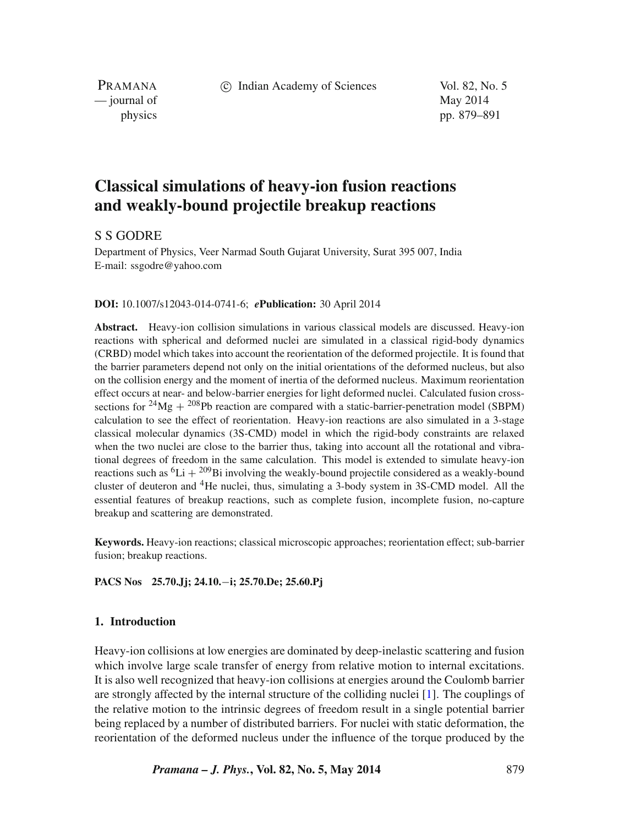c Indian Academy of Sciences Vol. 82, No. 5

PRAMANA — journal of May 2014

physics pp. 879–891

# **Classical simulations of heavy-ion fusion reactions and weakly-bound projectile breakup reactions**

# S S GODRE

Department of Physics, Veer Narmad South Gujarat University, Surat 395 007, India E-mail: ssgodre@yahoo.com

#### **DOI:** 10.1007/s12043-014-0741-6; *e***Publication:** 30 April 2014

**Abstract.** Heavy-ion collision simulations in various classical models are discussed. Heavy-ion reactions with spherical and deformed nuclei are simulated in a classical rigid-body dynamics (CRBD) model which takes into account the reorientation of the deformed projectile. It is found that the barrier parameters depend not only on the initial orientations of the deformed nucleus, but also on the collision energy and the moment of inertia of the deformed nucleus. Maximum reorientation effect occurs at near- and below-barrier energies for light deformed nuclei. Calculated fusion crosssections for  $^{24}Mg + ^{208}Pb$  reaction are compared with a static-barrier-penetration model (SBPM) calculation to see the effect of reorientation. Heavy-ion reactions are also simulated in a 3-stage classical molecular dynamics (3S-CMD) model in which the rigid-body constraints are relaxed when the two nuclei are close to the barrier thus, taking into account all the rotational and vibrational degrees of freedom in the same calculation. This model is extended to simulate heavy-ion reactions such as  ${}^{6}Li + {}^{209}Bi$  involving the weakly-bound projectile considered as a weakly-bound cluster of deuteron and 4He nuclei, thus, simulating a 3-body system in 3S-CMD model. All the essential features of breakup reactions, such as complete fusion, incomplete fusion, no-capture breakup and scattering are demonstrated.

**Keywords.** Heavy-ion reactions; classical microscopic approaches; reorientation effect; sub-barrier fusion; breakup reactions.

**PACS Nos 25.70.Jj; 24.10.**−**i; 25.70.De; 25.60.Pj**

#### **1. Introduction**

Heavy-ion collisions at low energies are dominated by deep-inelastic scattering and fusion which involve large scale transfer of energy from relative motion to internal excitations. It is also well recognized that heavy-ion collisions at energies around the Coulomb barrier are strongly affected by the internal structure of the colliding nuclei [\[1\]](#page-11-0). The couplings of the relative motion to the intrinsic degrees of freedom result in a single potential barrier being replaced by a number of distributed barriers. For nuclei with static deformation, the reorientation of the deformed nucleus under the influence of the torque produced by the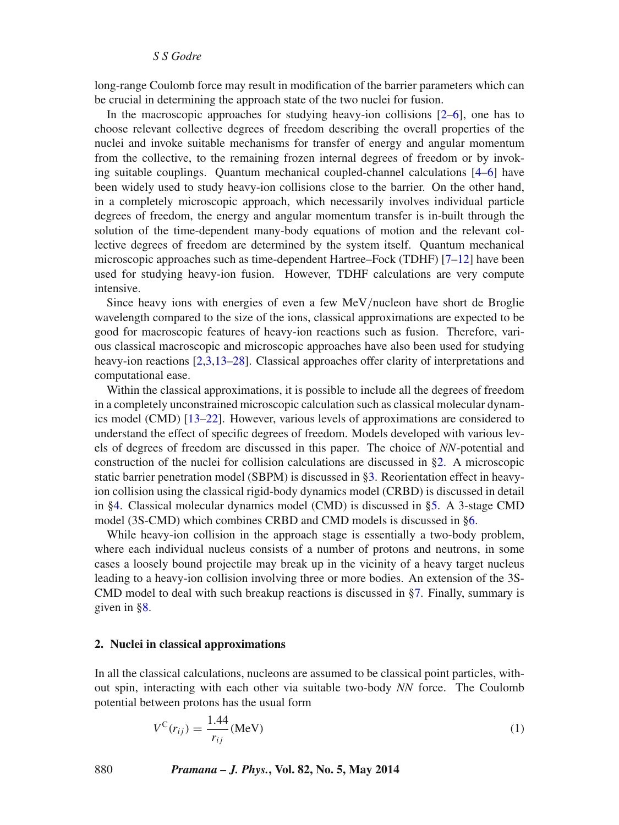long-range Coulomb force may result in modification of the barrier parameters which can be crucial in determining the approach state of the two nuclei for fusion.

In the macroscopic approaches for studying heavy-ion collisions [\[2](#page-11-1)[–6\]](#page-12-0), one has to choose relevant collective degrees of freedom describing the overall properties of the nuclei and invoke suitable mechanisms for transfer of energy and angular momentum from the collective, to the remaining frozen internal degrees of freedom or by invoking suitable couplings. Quantum mechanical coupled-channel calculations [\[4–](#page-11-2)[6\]](#page-12-0) have been widely used to study heavy-ion collisions close to the barrier. On the other hand, in a completely microscopic approach, which necessarily involves individual particle degrees of freedom, the energy and angular momentum transfer is in-built through the solution of the time-dependent many-body equations of motion and the relevant collective degrees of freedom are determined by the system itself. Quantum mechanical microscopic approaches such as time-dependent Hartree–Fock (TDHF) [\[7](#page-12-1)[–12\]](#page-12-2) have been used for studying heavy-ion fusion. However, TDHF calculations are very compute intensive.

Since heavy ions with energies of even a few MeV*/*nucleon have short de Broglie wavelength compared to the size of the ions, classical approximations are expected to be good for macroscopic features of heavy-ion reactions such as fusion. Therefore, various classical macroscopic and microscopic approaches have also been used for studying heavy-ion reactions [\[2,](#page-11-1)[3,](#page-11-3)[13–](#page-12-3)[28\]](#page-12-4). Classical approaches offer clarity of interpretations and computational ease.

Within the classical approximations, it is possible to include all the degrees of freedom in a completely unconstrained microscopic calculation such as classical molecular dynamics model (CMD) [\[13–](#page-12-3)[22\]](#page-12-5). However, various levels of approximations are considered to understand the effect of specific degrees of freedom. Models developed with various levels of degrees of freedom are discussed in this paper. The choice of *NN*-potential and construction of the nuclei for collision calculations are discussed in [§2.](#page-1-0) A microscopic static barrier penetration model (SBPM) is discussed in [§3.](#page-2-0) Reorientation effect in heavyion collision using the classical rigid-body dynamics model (CRBD) is discussed in detail in [§4.](#page-3-0) Classical molecular dynamics model (CMD) is discussed in [§5.](#page-4-0) A 3-stage CMD model (3S-CMD) which combines CRBD and CMD models is discussed in [§6.](#page-7-0)

While heavy-ion collision in the approach stage is essentially a two-body problem, where each individual nucleus consists of a number of protons and neutrons, in some cases a loosely bound projectile may break up in the vicinity of a heavy target nucleus leading to a heavy-ion collision involving three or more bodies. An extension of the 3S-CMD model to deal with such breakup reactions is discussed in [§7.](#page-9-0) Finally, summary is given in [§8.](#page-11-4)

#### <span id="page-1-0"></span>**2. Nuclei in classical approximations**

In all the classical calculations, nucleons are assumed to be classical point particles, without spin, interacting with each other via suitable two-body *NN* force. The Coulomb potential between protons has the usual form

$$
V^{C}(r_{ij}) = \frac{1.44}{r_{ij}} \text{(MeV)}\tag{1}
$$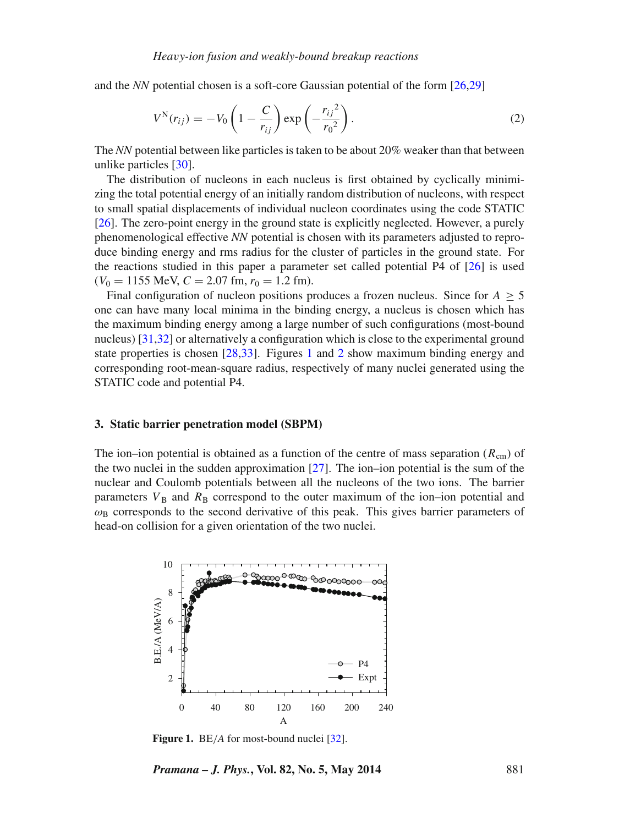and the *NN* potential chosen is a soft-core Gaussian potential of the form [\[26](#page-12-6)[,29\]](#page-12-7)

$$
V^{\rm N}(r_{ij}) = -V_0 \left( 1 - \frac{C}{r_{ij}} \right) \exp \left( -\frac{r_{ij}^2}{r_0^2} \right).
$$
 (2)

The *NN* potential between like particles is taken to be about 20% weaker than that between unlike particles [\[30\]](#page-12-8).

The distribution of nucleons in each nucleus is first obtained by cyclically minimizing the total potential energy of an initially random distribution of nucleons, with respect to small spatial displacements of individual nucleon coordinates using the code STATIC [\[26\]](#page-12-6). The zero-point energy in the ground state is explicitly neglected. However, a purely phenomenological effective *NN* potential is chosen with its parameters adjusted to reproduce binding energy and rms radius for the cluster of particles in the ground state. For the reactions studied in this paper a parameter set called potential P4 of  $[26]$  is used  $(V_0 = 1155 \text{ MeV}, C = 2.07 \text{ fm}, r_0 = 1.2 \text{ fm}).$ 

Final configuration of nucleon positions produces a frozen nucleus. Since for  $A > 5$ one can have many local minima in the binding energy, a nucleus is chosen which has the maximum binding energy among a large number of such configurations (most-bound nucleus) [\[31,](#page-12-9)[32\]](#page-12-10) or alternatively a configuration which is close to the experimental ground state properties is chosen [\[28](#page-12-4)[,33\]](#page-12-11). Figures [1](#page-2-1) and [2](#page-3-1) show maximum binding energy and corresponding root-mean-square radius, respectively of many nuclei generated using the STATIC code and potential P4.

## <span id="page-2-0"></span>**3. Static barrier penetration model (SBPM)**

The ion–ion potential is obtained as a function of the centre of mass separation  $(R_{cm})$  of the two nuclei in the sudden approximation [\[27\]](#page-12-12). The ion–ion potential is the sum of the nuclear and Coulomb potentials between all the nucleons of the two ions. The barrier parameters  $V_{\rm B}$  and  $R_{\rm B}$  correspond to the outer maximum of the ion–ion potential and  $\omega_B$  corresponds to the second derivative of this peak. This gives barrier parameters of head-on collision for a given orientation of the two nuclei.

<span id="page-2-1"></span>

**Figure 1.** BE*/A* for most-bound nuclei [\[32\]](#page-12-10).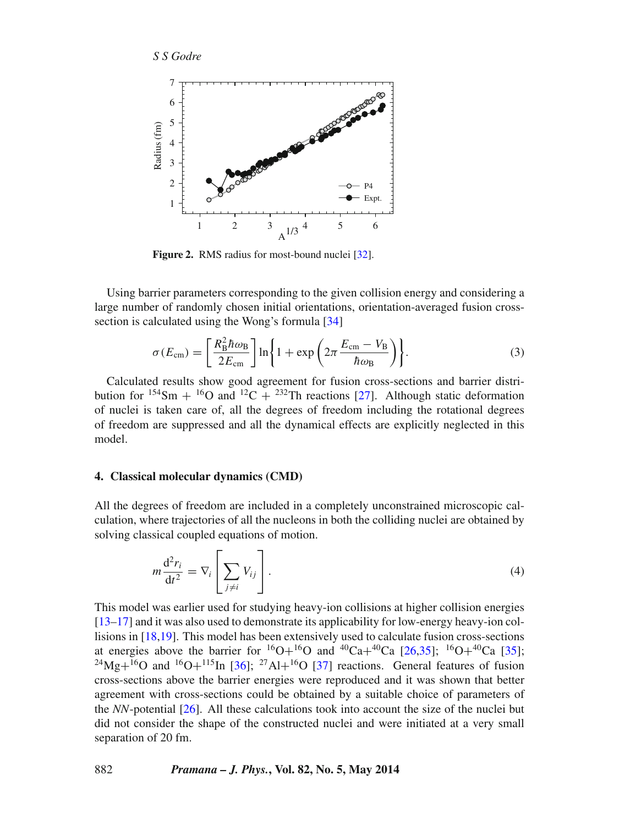*S S Godre*

<span id="page-3-1"></span>

Figure 2. RMS radius for most-bound nuclei [\[32\]](#page-12-10).

Using barrier parameters corresponding to the given collision energy and considering a large number of randomly chosen initial orientations, orientation-averaged fusion crosssection is calculated using the Wong's formula [\[34\]](#page-12-13)

$$
\sigma(E_{\rm cm}) = \left[\frac{R_{\rm B}^2 \hbar \omega_{\rm B}}{2E_{\rm cm}}\right] \ln\left\{1 + \exp\left(2\pi \frac{E_{\rm cm} - V_{\rm B}}{\hbar \omega_{\rm B}}\right)\right\}.
$$
\n(3)

Calculated results show good agreement for fusion cross-sections and barrier distri-bution for <sup>154</sup>Sm + <sup>16</sup>O and <sup>12</sup>C + <sup>232</sup>Th reactions [\[27\]](#page-12-12). Although static deformation of nuclei is taken care of, all the degrees of freedom including the rotational degrees of freedom are suppressed and all the dynamical effects are explicitly neglected in this model.

## <span id="page-3-0"></span>**4. Classical molecular dynamics (CMD)**

All the degrees of freedom are included in a completely unconstrained microscopic calculation, where trajectories of all the nucleons in both the colliding nuclei are obtained by solving classical coupled equations of motion.

$$
m\frac{\mathrm{d}^2 r_i}{\mathrm{d}t^2} = \nabla_i \left[ \sum_{j \neq i} V_{ij} \right]. \tag{4}
$$

This model was earlier used for studying heavy-ion collisions at higher collision energies [\[13](#page-12-3)[–17\]](#page-12-14) and it was also used to demonstrate its applicability for low-energy heavy-ion collisions in [\[18](#page-12-15)[,19\]](#page-12-16). This model has been extensively used to calculate fusion cross-sections at energies above the barrier for <sup>16</sup>O+<sup>16</sup>O and <sup>40</sup>Ca+<sup>40</sup>Ca [\[26,](#page-12-6)[35\]](#page-12-17); <sup>16</sup>O+<sup>40</sup>Ca [\[35\]](#page-12-17); <sup>24</sup>Mg<sup>+16</sup>O and <sup>16</sup>O<sup>+115</sup>In [\[36\]](#page-12-18); <sup>27</sup>Al<sup>+16</sup>O [\[37\]](#page-12-19) reactions. General features of fusion cross-sections above the barrier energies were reproduced and it was shown that better agreement with cross-sections could be obtained by a suitable choice of parameters of the *NN*-potential [\[26\]](#page-12-6). All these calculations took into account the size of the nuclei but did not consider the shape of the constructed nuclei and were initiated at a very small separation of 20 fm.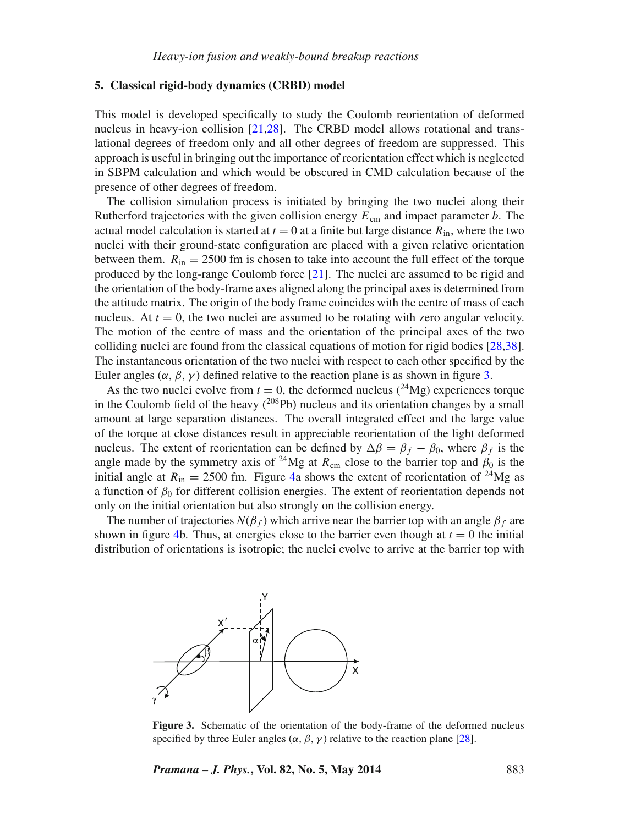#### <span id="page-4-0"></span>**5. Classical rigid-body dynamics (CRBD) model**

This model is developed specifically to study the Coulomb reorientation of deformed nucleus in heavy-ion collision [\[21,](#page-12-20)[28\]](#page-12-4). The CRBD model allows rotational and translational degrees of freedom only and all other degrees of freedom are suppressed. This approach is useful in bringing out the importance of reorientation effect which is neglected in SBPM calculation and which would be obscured in CMD calculation because of the presence of other degrees of freedom.

The collision simulation process is initiated by bringing the two nuclei along their Rutherford trajectories with the given collision energy  $E_{cm}$  and impact parameter *b*. The actual model calculation is started at  $t = 0$  at a finite but large distance  $R_{\text{in}}$ , where the two nuclei with their ground-state configuration are placed with a given relative orientation between them.  $R_{in} = 2500$  fm is chosen to take into account the full effect of the torque produced by the long-range Coulomb force [\[21\]](#page-12-20). The nuclei are assumed to be rigid and the orientation of the body-frame axes aligned along the principal axes is determined from the attitude matrix. The origin of the body frame coincides with the centre of mass of each nucleus. At  $t = 0$ , the two nuclei are assumed to be rotating with zero angular velocity. The motion of the centre of mass and the orientation of the principal axes of the two colliding nuclei are found from the classical equations of motion for rigid bodies [\[28,](#page-12-4)[38\]](#page-12-21). The instantaneous orientation of the two nuclei with respect to each other specified by the Euler angles  $(\alpha, \beta, \gamma)$  defined relative to the reaction plane is as shown in figure [3.](#page-4-1)

As the two nuclei evolve from  $t = 0$ , the deformed nucleus  $(^{24}Mg)$  experiences torque in the Coulomb field of the heavy  $(^{208}Pb)$  nucleus and its orientation changes by a small amount at large separation distances. The overall integrated effect and the large value of the torque at close distances result in appreciable reorientation of the light deformed nucleus. The extent of reorientation can be defined by  $\Delta \beta = \beta_f - \beta_0$ , where  $\beta_f$  is the angle made by the symmetry axis of <sup>24</sup>Mg at  $R_{cm}$  close to the barrier top and  $\beta_0$  is the initial angle at  $R_{\rm in} = 2500$  fm. Figure [4a](#page-5-0) shows the extent of reorientation of <sup>24</sup>Mg as a function of  $\beta_0$  for different collision energies. The extent of reorientation depends not only on the initial orientation but also strongly on the collision energy.

The number of trajectories  $N(\beta_f)$  which arrive near the barrier top with an angle  $\beta_f$  are shown in figure [4b](#page-5-0). Thus, at energies close to the barrier even though at  $t = 0$  the initial distribution of orientations is isotropic; the nuclei evolve to arrive at the barrier top with

<span id="page-4-1"></span>

**Figure 3.** Schematic of the orientation of the body-frame of the deformed nucleus specified by three Euler angles  $(\alpha, \beta, \gamma)$  relative to the reaction plane [\[28\]](#page-12-4).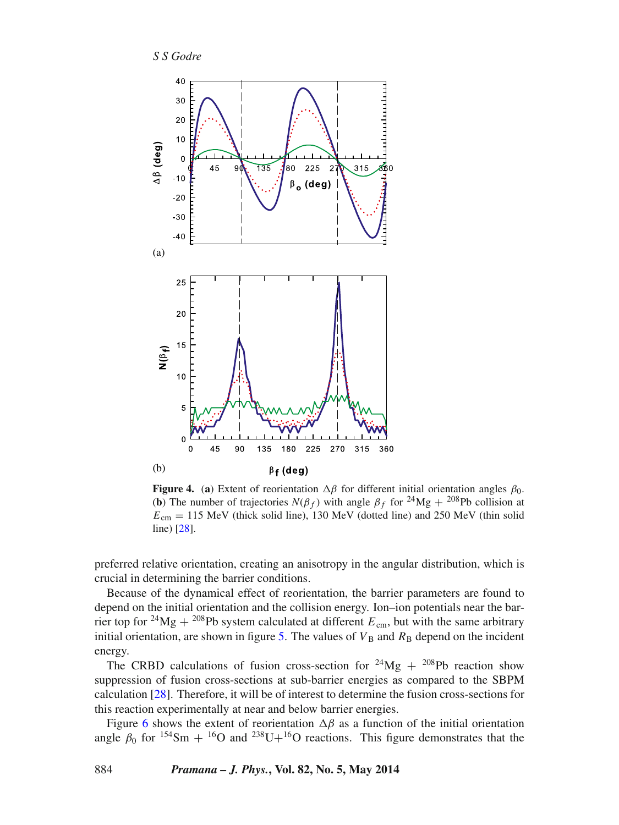*S S Godre*

<span id="page-5-0"></span>

**Figure 4.** (a) Extent of reorientation  $\Delta\beta$  for different initial orientation angles  $\beta_0$ . (**b**) The number of trajectories  $N(\beta_f)$  with angle  $\beta_f$  for  $^{24}Mg + ^{208}Pb$  collision at  $E_{\text{cm}} = 115$  MeV (thick solid line), 130 MeV (dotted line) and 250 MeV (thin solid line) [\[28\]](#page-12-4).

preferred relative orientation, creating an anisotropy in the angular distribution, which is crucial in determining the barrier conditions.

Because of the dynamical effect of reorientation, the barrier parameters are found to depend on the initial orientation and the collision energy. Ion–ion potentials near the barrier top for <sup>24</sup>Mg + <sup>208</sup>Pb system calculated at different  $E_{cm}$ , but with the same arbitrary initial orientation, are shown in figure [5.](#page-6-0) The values of  $V<sub>B</sub>$  and  $R<sub>B</sub>$  depend on the incident energy.

The CRBD calculations of fusion cross-section for  $^{24}Mg + ^{208}Pb$  reaction show suppression of fusion cross-sections at sub-barrier energies as compared to the SBPM calculation [\[28\]](#page-12-4). Therefore, it will be of interest to determine the fusion cross-sections for this reaction experimentally at near and below barrier energies.

Figure [6](#page-6-1) shows the extent of reorientation  $\Delta \beta$  as a function of the initial orientation angle  $\beta_0$  for <sup>154</sup>Sm + <sup>16</sup>O and <sup>238</sup>U+<sup>16</sup>O reactions. This figure demonstrates that the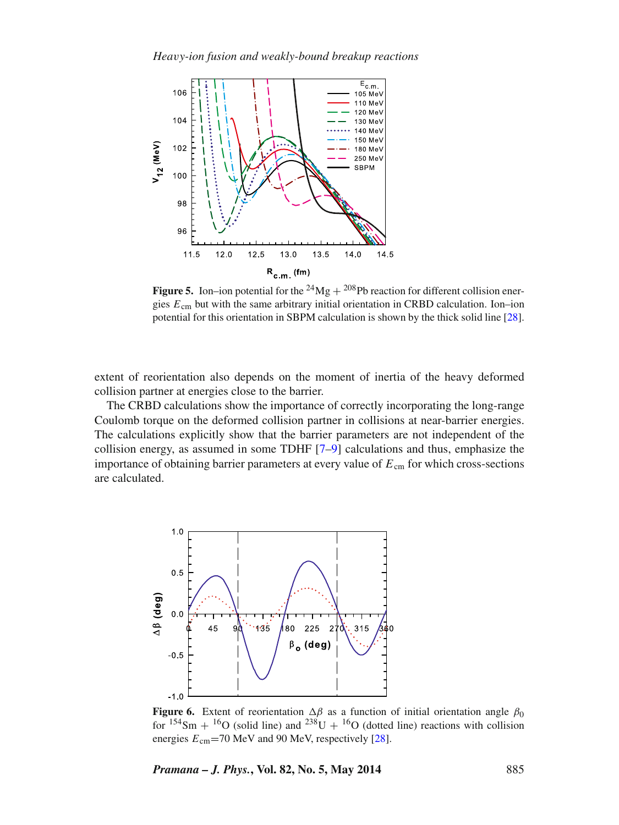<span id="page-6-0"></span>

**Figure 5.** Ion–ion potential for the <sup>24</sup>Mg  $+$  <sup>208</sup>Pb reaction for different collision energies *E*cm but with the same arbitrary initial orientation in CRBD calculation. Ion–ion potential for this orientation in SBPM calculation is shown by the thick solid line [\[28\]](#page-12-4).

extent of reorientation also depends on the moment of inertia of the heavy deformed collision partner at energies close to the barrier.

The CRBD calculations show the importance of correctly incorporating the long-range Coulomb torque on the deformed collision partner in collisions at near-barrier energies. The calculations explicitly show that the barrier parameters are not independent of the collision energy, as assumed in some TDHF [\[7](#page-12-1)[–9\]](#page-12-22) calculations and thus, emphasize the importance of obtaining barrier parameters at every value of  $E_{cm}$  for which cross-sections are calculated.

<span id="page-6-1"></span>

**Figure 6.** Extent of reorientation  $\Delta\beta$  as a function of initial orientation angle  $\beta_0$ for  $154$ Sm +  $16$ O (solid line) and  $238$ U +  $16$ O (dotted line) reactions with collision energies  $E_{\text{cm}}$ =70 MeV and 90 MeV, respectively [\[28\]](#page-12-4).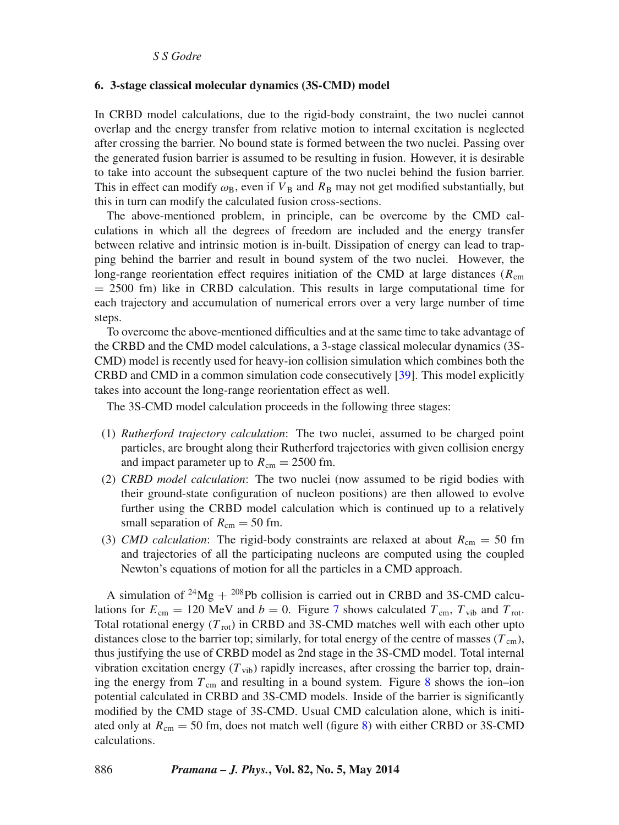#### <span id="page-7-0"></span>**6. 3-stage classical molecular dynamics (3S-CMD) model**

In CRBD model calculations, due to the rigid-body constraint, the two nuclei cannot overlap and the energy transfer from relative motion to internal excitation is neglected after crossing the barrier. No bound state is formed between the two nuclei. Passing over the generated fusion barrier is assumed to be resulting in fusion. However, it is desirable to take into account the subsequent capture of the two nuclei behind the fusion barrier. This in effect can modify  $\omega_B$ , even if  $V_B$  and  $R_B$  may not get modified substantially, but this in turn can modify the calculated fusion cross-sections.

The above-mentioned problem, in principle, can be overcome by the CMD calculations in which all the degrees of freedom are included and the energy transfer between relative and intrinsic motion is in-built. Dissipation of energy can lead to trapping behind the barrier and result in bound system of the two nuclei. However, the long-range reorientation effect requires initiation of the CMD at large distances ( $R_{cm}$ ) = 2500 fm) like in CRBD calculation. This results in large computational time for each trajectory and accumulation of numerical errors over a very large number of time steps.

To overcome the above-mentioned difficulties and at the same time to take advantage of the CRBD and the CMD model calculations, a 3-stage classical molecular dynamics (3S-CMD) model is recently used for heavy-ion collision simulation which combines both the CRBD and CMD in a common simulation code consecutively [\[39\]](#page-12-23). This model explicitly takes into account the long-range reorientation effect as well.

The 3S-CMD model calculation proceeds in the following three stages:

- (1) *Rutherford trajectory calculation*: The two nuclei, assumed to be charged point particles, are brought along their Rutherford trajectories with given collision energy and impact parameter up to  $R_{cm} = 2500$  fm.
- (2) *CRBD model calculation*: The two nuclei (now assumed to be rigid bodies with their ground-state configuration of nucleon positions) are then allowed to evolve further using the CRBD model calculation which is continued up to a relatively small separation of  $R_{cm} = 50$  fm.
- (3) *CMD calculation*: The rigid-body constraints are relaxed at about  $R_{cm} = 50$  fm and trajectories of all the participating nucleons are computed using the coupled Newton's equations of motion for all the particles in a CMD approach.

A simulation of  $^{24}Mg + {}^{208}Pb$  collision is carried out in CRBD and 3S-CMD calculations for  $E_{\text{cm}} = 120 \text{ MeV}$  and  $b = 0$ . Figure [7](#page-8-0) shows calculated  $T_{\text{cm}}$ ,  $T_{\text{vib}}$  and  $T_{\text{rot}}$ . Total rotational energy  $(T_{\text{rot}})$  in CRBD and 3S-CMD matches well with each other upto distances close to the barrier top; similarly, for total energy of the centre of masses  $(T_{cm})$ , thus justifying the use of CRBD model as 2nd stage in the 3S-CMD model. Total internal vibration excitation energy  $(T_{\text{vib}})$  rapidly increases, after crossing the barrier top, draining the energy from  $T_{cm}$  and resulting in a bound system. Figure [8](#page-8-1) shows the ion–ion potential calculated in CRBD and 3S-CMD models. Inside of the barrier is significantly modified by the CMD stage of 3S-CMD. Usual CMD calculation alone, which is initiated only at  $R_{cm} = 50$  fm, does not match well (figure [8\)](#page-8-1) with either CRBD or 3S-CMD calculations.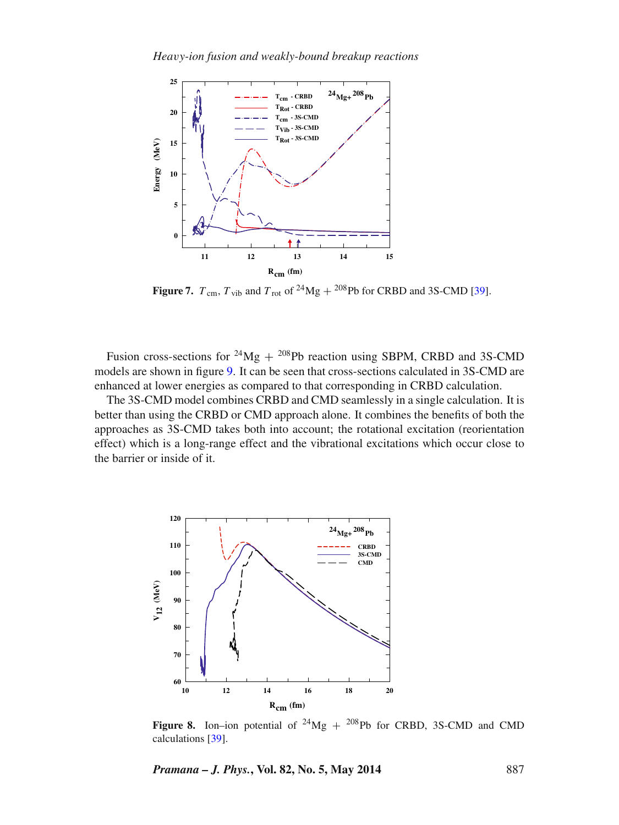<span id="page-8-0"></span>

**Figure 7.**  $T_{\text{cm}}$ ,  $T_{\text{vib}}$  and  $T_{\text{rot}}$  of  $^{24}Mg + ^{208}Pb$  for CRBD and 3S-CMD [\[39\]](#page-12-23).

Fusion cross-sections for <sup>24</sup>Mg + <sup>208</sup>Pb reaction using SBPM, CRBD and 3S-CMD models are shown in figure [9.](#page-9-1) It can be seen that cross-sections calculated in 3S-CMD are enhanced at lower energies as compared to that corresponding in CRBD calculation.

The 3S-CMD model combines CRBD and CMD seamlessly in a single calculation. It is better than using the CRBD or CMD approach alone. It combines the benefits of both the approaches as 3S-CMD takes both into account; the rotational excitation (reorientation effect) which is a long-range effect and the vibrational excitations which occur close to the barrier or inside of it.

<span id="page-8-1"></span>

**Figure 8.** Ion–ion potential of  $^{24}Mg + ^{208}Pb$  for CRBD, 3S-CMD and CMD calculations [\[39\]](#page-12-23).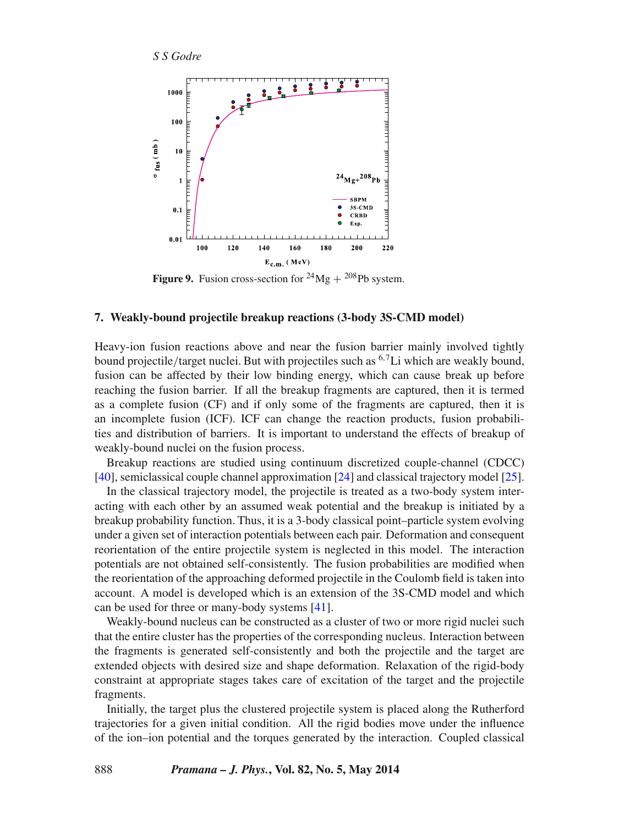<span id="page-9-1"></span>

**Figure 9.** Fusion cross-section for  $^{24}Mg + ^{208}Pb$  system.

#### <span id="page-9-0"></span>**7. Weakly-bound projectile breakup reactions (3-body 3S-CMD model)**

Heavy-ion fusion reactions above and near the fusion barrier mainly involved tightly bound projectile*/*target nuclei. But with projectiles such as <sup>6</sup>*,*7Li which are weakly bound, fusion can be affected by their low binding energy, which can cause break up before reaching the fusion barrier. If all the breakup fragments are captured, then it is termed as a complete fusion (CF) and if only some of the fragments are captured, then it is an incomplete fusion (ICF). ICF can change the reaction products, fusion probabilities and distribution of barriers. It is important to understand the effects of breakup of weakly-bound nuclei on the fusion process.

Breakup reactions are studied using continuum discretized couple-channel (CDCC) [\[40\]](#page-12-24), semiclassical couple channel approximation [\[24\]](#page-12-25) and classical trajectory model [\[25\]](#page-12-26).

In the classical trajectory model, the projectile is treated as a two-body system interacting with each other by an assumed weak potential and the breakup is initiated by a breakup probability function. Thus, it is a 3-body classical point–particle system evolving under a given set of interaction potentials between each pair. Deformation and consequent reorientation of the entire projectile system is neglected in this model. The interaction potentials are not obtained self-consistently. The fusion probabilities are modified when the reorientation of the approaching deformed projectile in the Coulomb field is taken into account. A model is developed which is an extension of the 3S-CMD model and which can be used for three or many-body systems [\[41\]](#page-12-27).

Weakly-bound nucleus can be constructed as a cluster of two or more rigid nuclei such that the entire cluster has the properties of the corresponding nucleus. Interaction between the fragments is generated self-consistently and both the projectile and the target are extended objects with desired size and shape deformation. Relaxation of the rigid-body constraint at appropriate stages takes care of excitation of the target and the projectile fragments.

Initially, the target plus the clustered projectile system is placed along the Rutherford trajectories for a given initial condition. All the rigid bodies move under the influence of the ion–ion potential and the torques generated by the interaction. Coupled classical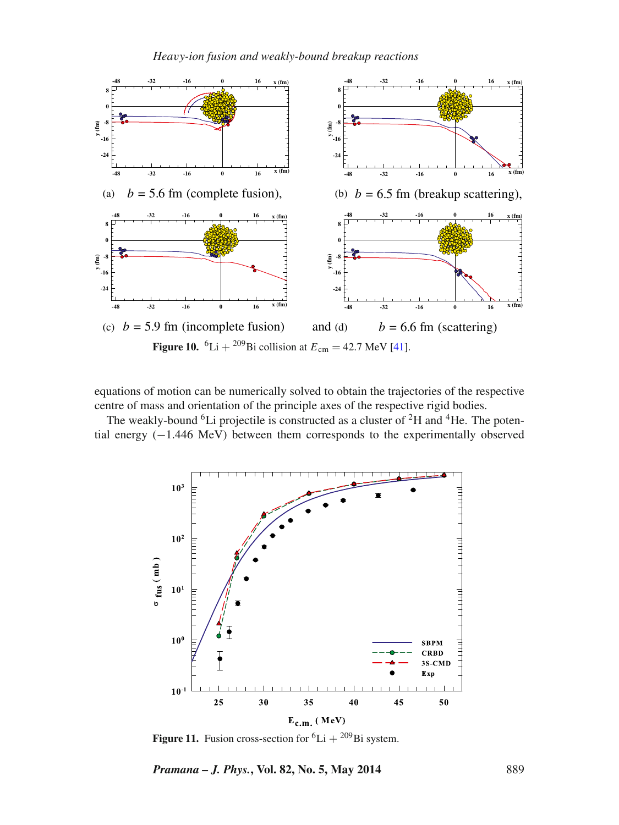<span id="page-10-0"></span>

equations of motion can be numerically solved to obtain the trajectories of the respective centre of mass and orientation of the principle axes of the respective rigid bodies.

The weakly-bound  ${}^{6}Li$  projectile is constructed as a cluster of  ${}^{2}H$  and  ${}^{4}He$ . The potential energy (−1.446 MeV) between them corresponds to the experimentally observed

<span id="page-10-1"></span>

**Figure 11.** Fusion cross-section for  ${}^{6}Li + {}^{209}Bi$  system.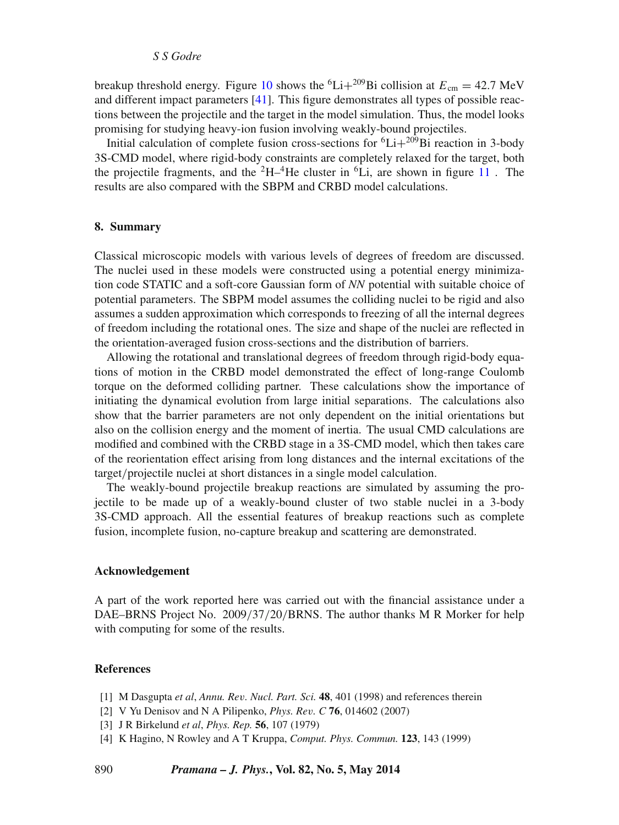breakup threshold energy. Figure [10](#page-10-0) shows the <sup>6</sup>Li $+^{209}$ Bi collision at  $E_{cm} = 42.7$  MeV and different impact parameters [\[41\]](#page-12-27). This figure demonstrates all types of possible reactions between the projectile and the target in the model simulation. Thus, the model looks promising for studying heavy-ion fusion involving weakly-bound projectiles.

Initial calculation of complete fusion cross-sections for  ${}^{6}Li+{}^{209}Bi$  reaction in 3-body 3S-CMD model, where rigid-body constraints are completely relaxed for the target, both the projectile fragments, and the  ${}^{2}H-{}^{4}He$  cluster in  ${}^{6}Li$ , are shown in figure [11](#page-10-1). results are also compared with the SBPM and CRBD model calculations.

# <span id="page-11-4"></span>**8. Summary**

Classical microscopic models with various levels of degrees of freedom are discussed. The nuclei used in these models were constructed using a potential energy minimization code STATIC and a soft-core Gaussian form of *NN* potential with suitable choice of potential parameters. The SBPM model assumes the colliding nuclei to be rigid and also assumes a sudden approximation which corresponds to freezing of all the internal degrees of freedom including the rotational ones. The size and shape of the nuclei are reflected in the orientation-averaged fusion cross-sections and the distribution of barriers.

Allowing the rotational and translational degrees of freedom through rigid-body equations of motion in the CRBD model demonstrated the effect of long-range Coulomb torque on the deformed colliding partner. These calculations show the importance of initiating the dynamical evolution from large initial separations. The calculations also show that the barrier parameters are not only dependent on the initial orientations but also on the collision energy and the moment of inertia. The usual CMD calculations are modified and combined with the CRBD stage in a 3S-CMD model, which then takes care of the reorientation effect arising from long distances and the internal excitations of the target*/*projectile nuclei at short distances in a single model calculation.

The weakly-bound projectile breakup reactions are simulated by assuming the projectile to be made up of a weakly-bound cluster of two stable nuclei in a 3-body 3S-CMD approach. All the essential features of breakup reactions such as complete fusion, incomplete fusion, no-capture breakup and scattering are demonstrated.

#### **Acknowledgement**

A part of the work reported here was carried out with the financial assistance under a DAE–BRNS Project No. 2009*/*37*/*20*/*BRNS. The author thanks M R Morker for help with computing for some of the results.

## **References**

- <span id="page-11-0"></span>[1] M Dasgupta *et al*, *Annu. Rev. Nucl. Part. Sci.* **48**, 401 (1998) and references therein
- <span id="page-11-1"></span>[2] V Yu Denisov and N A Pilipenko, *Phys. Rev. C* **76**, 014602 (2007)
- <span id="page-11-3"></span>[3] J R Birkelund *et al*, *Phys. Rep.* **56**, 107 (1979)
- <span id="page-11-2"></span>[4] K Hagino, N Rowley and A T Kruppa, *Comput. Phys. Commun.* **123**, 143 (1999)